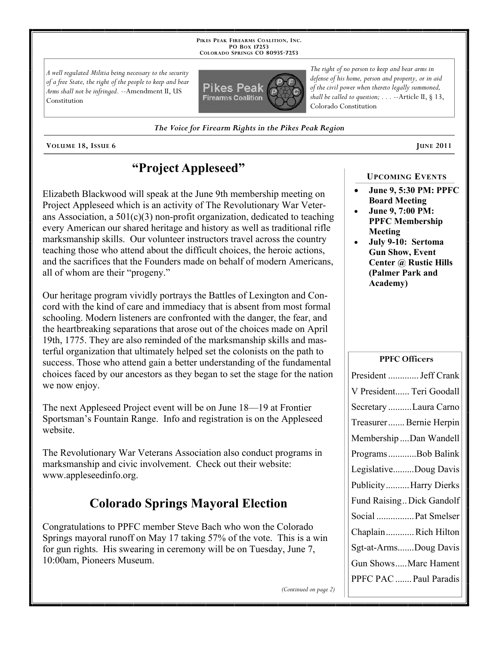**PIKES PEAK FIREARMS COALITION, INC. PO BOX 17253 COLORADO SPRINGS CO 80935 -7253**

*A well regulated Militia being necessary to the security of a free State, the right of the people to keep and bear Arms shall not be infringed.* --Amendment II, US Constitution



*The right of no person to keep and bear arms in defense of his home, person and property, or in aid of the civil power when thereto legally summoned, shall be called to question; . . .* --Article II, § 13, Colorado Constitution

*The Voice for Firearm Rights in the Pikes Peak Region*

**VOLUME** 18, ISSUE 6 **JUNE** 2011

## **"Project Appleseed"**

Elizabeth Blackwood will speak at the June 9th membership meeting on Project Appleseed which is an activity of The Revolutionary War Veterans Association, a  $501(c)(3)$  non-profit organization, dedicated to teaching every American our shared heritage and history as well as traditional rifle marksmanship skills. Our volunteer instructors travel across the country teaching those who attend about the difficult choices, the heroic actions, and the sacrifices that the Founders made on behalf of modern Americans, all of whom are their "progeny."

Our heritage program vividly portrays the Battles of Lexington and Concord with the kind of care and immediacy that is absent from most formal schooling. Modern listeners are confronted with the danger, the fear, and the heartbreaking separations that arose out of the choices made on April 19th, 1775. They are also reminded of the marksmanship skills and masterful organization that ultimately helped set the colonists on the path to success. Those who attend gain a better understanding of the fundamental choices faced by our ancestors as they began to set the stage for the nation we now enjoy.

The next Appleseed Project event will be on June 18—19 at Frontier Sportsman's Fountain Range. Info and registration is on the Appleseed website.

The Revolutionary War Veterans Association also conduct programs in marksmanship and civic involvement. Check out their website: www.appleseedinfo.org.

# **Colorado Springs Mayoral Election**

Congratulations to PPFC member Steve Bach who won the Colorado Springs mayoral runoff on May 17 taking 57% of the vote. This is a win for gun rights. His swearing in ceremony will be on Tuesday, June 7, 10:00am, Pioneers Museum.

 **June 9, 5:30 PM: PPFC Board Meeting**

**UPCOMING EVENTS**

- **June 9, 7:00 PM: PPFC Membership Meeting**
- **July 9-10: Sertoma Gun Show, Event Center @ Rustic Hills (Palmer Park and Academy)**

#### **PPFC Officers**

| President  Jeff Crank     |
|---------------------------|
| V President Teri Goodall  |
| Secretary Laura Carno     |
| Treasurer Bernie Herpin   |
| Membership  Dan Wandell   |
| ProgramsBob Balink        |
| LegislativeDoug Davis     |
| PublicityHarry Dierks     |
| Fund Raising Dick Gandolf |
| Social  Pat Smelser       |
| ChaplainRich Hilton       |
| Sgt-at-ArmsDoug Davis     |
| Gun ShowsMarc Hament      |
| PPFC PAC  Paul Paradis    |

*(Continued on page 2)*